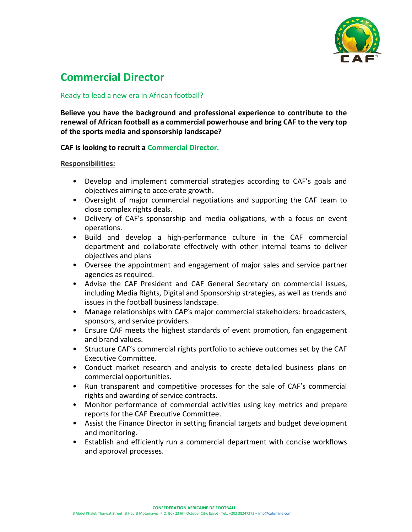

# **Commercial Director**

# Ready to lead a new era in African football?

**Believe you have the background and professional experience to contribute to the renewal of African football as a commercial powerhouse and bring CAF to the very top of the sports media and sponsorship landscape?**

## **CAF is looking to recruit a Commercial Director.**

#### **Responsibilities:**

- Develop and implement commercial strategies according to CAF's goals and objectives aiming to accelerate growth.
- Oversight of major commercial negotiations and supporting the CAF team to close complex rights deals.
- Delivery of CAF's sponsorship and media obligations, with a focus on event operations.
- Build and develop a high-performance culture in the CAF commercial department and collaborate effectively with other internal teams to deliver objectives and plans
- Oversee the appointment and engagement of major sales and service partner agencies as required.
- Advise the CAF President and CAF General Secretary on commercial issues, including Media Rights, Digital and Sponsorship strategies, as well as trends and issues in the football business landscape.
- Manage relationships with CAF's major commercial stakeholders: broadcasters, sponsors, and service providers.
- Ensure CAF meets the highest standards of event promotion, fan engagement and brand values.
- Structure CAF's commercial rights portfolio to achieve outcomes set by the CAF Executive Committee.
- Conduct market research and analysis to create detailed business plans on commercial opportunities.
- Run transparent and competitive processes for the sale of CAF's commercial rights and awarding of service contracts.
- Monitor performance of commercial activities using key metrics and prepare reports for the CAF Executive Committee.
- Assist the Finance Director in setting financial targets and budget development and monitoring.
- Establish and efficiently run a commercial department with concise workflows and approval processes.